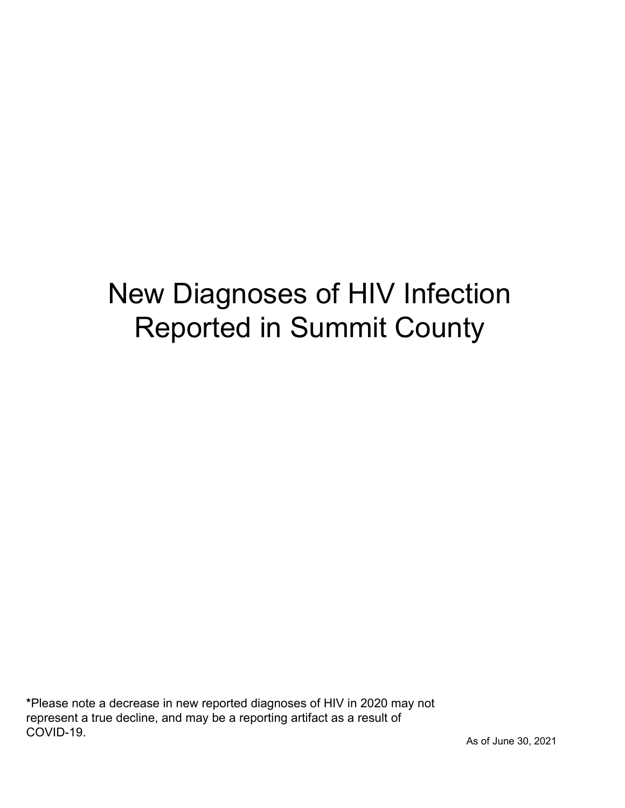# New Diagnoses of HIV Infection Reported in Summit County

\*Please note a decrease in new reported diagnoses of HIV in 2020 may not represent a true decline, and may be a reporting artifact as a result of COVID-19.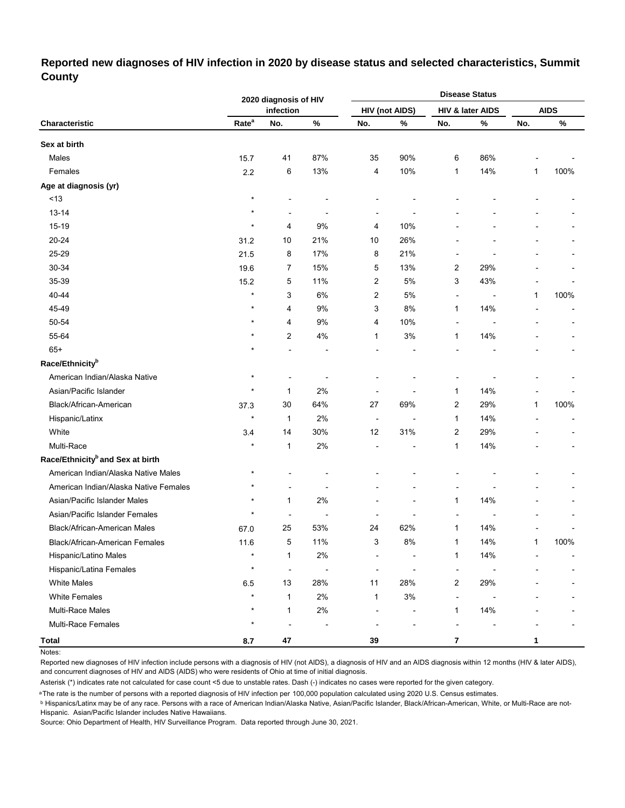## **Reported new diagnoses of HIV infection in 2020 by disease status and selected characteristics, Summit County**

|                                              |                   | 2020 diagnosis of HIV    |                          |                |                       |                          | <b>Disease Status</b> |              |             |  |
|----------------------------------------------|-------------------|--------------------------|--------------------------|----------------|-----------------------|--------------------------|-----------------------|--------------|-------------|--|
|                                              |                   | infection                |                          |                | <b>HIV (not AIDS)</b> |                          | HIV & later AIDS      |              | <b>AIDS</b> |  |
| Characteristic                               | Rate <sup>a</sup> | No.                      | $\%$                     | No.            | $\%$                  | No.                      | $\%$                  | No.          | $\%$        |  |
| Sex at birth                                 |                   |                          |                          |                |                       |                          |                       |              |             |  |
| Males                                        | 15.7              | 41                       | 87%                      | 35             | 90%                   | 6                        | 86%                   |              |             |  |
| Females                                      | 2.2               | 6                        | 13%                      | 4              | 10%                   | $\mathbf{1}$             | 14%                   | $\mathbf{1}$ | 100%        |  |
| Age at diagnosis (yr)                        |                   |                          |                          |                |                       |                          |                       |              |             |  |
| ~13                                          | $\star$           |                          |                          |                |                       |                          |                       |              |             |  |
| $13 - 14$                                    | $^\star$          | ÷                        | $\overline{\phantom{a}}$ | ٠              |                       |                          |                       |              |             |  |
| 15-19                                        | $\star$           | 4                        | 9%                       | 4              | 10%                   |                          |                       |              |             |  |
| 20-24                                        | 31.2              | 10                       | 21%                      | 10             | 26%                   |                          |                       |              |             |  |
| 25-29                                        | 21.5              | 8                        | 17%                      | 8              | 21%                   |                          |                       |              |             |  |
| 30-34                                        | 19.6              | 7                        | 15%                      | 5              | 13%                   | 2                        | 29%                   |              |             |  |
| 35-39                                        | 15.2              | 5                        | 11%                      | 2              | 5%                    | 3                        | 43%                   |              |             |  |
| 40-44                                        | $\star$           | 3                        | 6%                       | $\overline{c}$ | 5%                    | $\overline{\phantom{a}}$ | ٠                     | 1            | 100%        |  |
| 45-49                                        | $\star$           | 4                        | 9%                       | 3              | 8%                    | 1                        | 14%                   |              |             |  |
| 50-54                                        | $\star$           | 4                        | 9%                       | 4              | 10%                   | $\overline{\phantom{a}}$ |                       |              |             |  |
| 55-64                                        |                   | 2                        | 4%                       | 1              | 3%                    | 1                        | 14%                   |              |             |  |
| $65+$                                        | $\star$           |                          |                          |                |                       |                          |                       |              |             |  |
| Race/Ethnicity <sup>b</sup>                  |                   |                          |                          |                |                       |                          |                       |              |             |  |
| American Indian/Alaska Native                | $^\star$          | ÷                        |                          |                |                       |                          |                       |              |             |  |
| Asian/Pacific Islander                       | $\star$           | 1                        | 2%                       |                |                       | 1                        | 14%                   |              |             |  |
| Black/African-American                       | 37.3              | 30                       | 64%                      | 27             | 69%                   | 2                        | 29%                   | 1            | 100%        |  |
| Hispanic/Latinx                              | $\star$           | 1                        | 2%                       | ÷,             |                       | 1                        | 14%                   |              |             |  |
| White                                        | 3.4               | 14                       | 30%                      | 12             | 31%                   | $\overline{c}$           | 29%                   |              |             |  |
| Multi-Race                                   | $\star$           | 1                        | 2%                       |                |                       | 1                        | 14%                   |              |             |  |
| Race/Ethnicity <sup>b</sup> and Sex at birth |                   |                          |                          |                |                       |                          |                       |              |             |  |
| American Indian/Alaska Native Males          | $^\star$          |                          |                          |                |                       |                          |                       |              |             |  |
| American Indian/Alaska Native Females        | $\star$           | Ĭ.                       |                          |                |                       |                          |                       |              |             |  |
| Asian/Pacific Islander Males                 | $\star$           | $\mathbf{1}$             | 2%                       |                |                       | 1                        | 14%                   |              |             |  |
| Asian/Pacific Islander Females               |                   |                          |                          |                |                       |                          |                       |              |             |  |
| Black/African-American Males                 | 67.0              | 25                       | 53%                      | 24             | 62%                   | 1                        | 14%                   |              |             |  |
| Black/African-American Females               | 11.6              | 5                        | 11%                      | 3              | $8\%$                 | 1                        | 14%                   | 1            | 100%        |  |
| Hispanic/Latino Males                        |                   | 1                        | 2%                       | -              |                       | 1                        | 14%                   |              |             |  |
| Hispanic/Latina Females                      | $\star$           | $\overline{\phantom{a}}$ | $\overline{\phantom{a}}$ | ٠              | ٠                     | ÷,                       |                       |              |             |  |
| <b>White Males</b>                           | 6.5               | $13$                     | 28%                      | 11             | 28%                   | 2                        | 29%                   |              |             |  |
| <b>White Females</b>                         | $\star$           | $\mathbf{1}$             | 2%                       | 1              | $3\%$                 | $\overline{\phantom{a}}$ |                       |              |             |  |
| Multi-Race Males                             | $^\star$          | 1                        | $2\%$                    | -              | ٠                     | 1                        | 14%                   |              |             |  |
| Multi-Race Females                           | $\star$           | $\overline{\phantom{a}}$ |                          |                |                       | L,                       |                       |              |             |  |
| <b>Total</b>                                 | 8.7               | 47                       |                          | 39             |                       | 7                        |                       | 1            |             |  |

Notes:

Reported new diagnoses of HIV infection include persons with a diagnosis of HIV (not AIDS), a diagnosis of HIV and an AIDS diagnosis within 12 months (HIV & later AIDS), and concurrent diagnoses of HIV and AIDS (AIDS) who were residents of Ohio at time of initial diagnosis.

Asterisk (\*) indicates rate not calculated for case count <5 due to unstable rates. Dash (-) indicates no cases were reported for the given category.

a The rate is the number of persons with a reported diagnosis of HIV infection per 100,000 population calculated using 2020 U.S. Census estimates.

ᵇ Hispanics/Latinx may be of any race. Persons with a race of American Indian/Alaska Native, Asian/Pacific Islander, Black/African-American, White, or Multi-Race are not-Hispanic. Asian/Pacific Islander includes Native Hawaiians.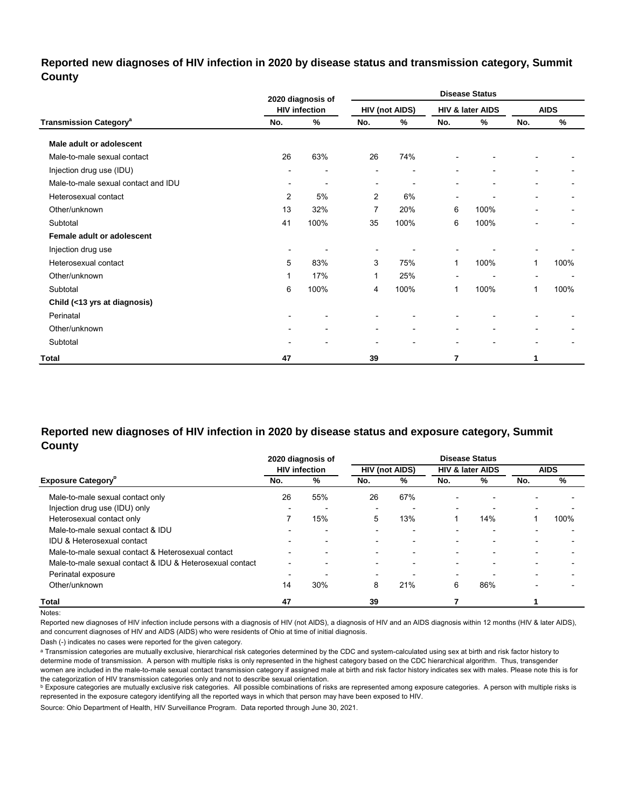## **Reported new diagnoses of HIV infection in 2020 by disease status and transmission category, Summit County**

|                                          |                          | 2020 diagnosis of        |                          |                       | <b>Disease Status</b>    |                          |                          |                          |
|------------------------------------------|--------------------------|--------------------------|--------------------------|-----------------------|--------------------------|--------------------------|--------------------------|--------------------------|
|                                          |                          | <b>HIV infection</b>     |                          | <b>HIV (not AIDS)</b> |                          | HIV & later AIDS         |                          | <b>AIDS</b>              |
| <b>Transmission Category<sup>a</sup></b> | No.                      | $\%$                     | No.                      | %                     | No.                      | %                        | No.                      | %                        |
| Male adult or adolescent                 |                          |                          |                          |                       |                          |                          |                          |                          |
| Male-to-male sexual contact              | 26                       | 63%                      | 26                       | 74%                   |                          |                          |                          |                          |
| Injection drug use (IDU)                 | $\overline{\phantom{0}}$ |                          | ۰                        |                       |                          | $\overline{\phantom{0}}$ | $\overline{\phantom{0}}$ |                          |
| Male-to-male sexual contact and IDU      | ٠                        |                          | ٠                        |                       | $\overline{\phantom{0}}$ | $\overline{\phantom{0}}$ | -                        | $\overline{\phantom{0}}$ |
| Heterosexual contact                     | $\overline{2}$           | 5%                       | $\overline{2}$           | 6%                    | $\overline{\phantom{0}}$ |                          |                          | $\blacksquare$           |
| Other/unknown                            | 13                       | 32%                      | 7                        | 20%                   | 6                        | 100%                     | $\blacksquare$           | ۰                        |
| Subtotal                                 | 41                       | 100%                     | 35                       | 100%                  | 6                        | 100%                     |                          |                          |
| <b>Female adult or adolescent</b>        |                          |                          |                          |                       |                          |                          |                          |                          |
| Injection drug use                       | -                        |                          | $\overline{\phantom{a}}$ |                       |                          |                          |                          |                          |
| Heterosexual contact                     | 5                        | 83%                      | 3                        | 75%                   | 1                        | 100%                     | $\mathbf{1}$             | 100%                     |
| Other/unknown                            | 1                        | 17%                      | 1                        | 25%                   |                          | $\overline{\phantom{0}}$ | $\blacksquare$           |                          |
| Subtotal                                 | 6                        | 100%                     | 4                        | 100%                  | 1                        | 100%                     | $\mathbf{1}$             | 100%                     |
| Child (<13 yrs at diagnosis)             |                          |                          |                          |                       |                          |                          |                          |                          |
| Perinatal                                |                          |                          |                          |                       |                          |                          |                          |                          |
| Other/unknown                            |                          | $\overline{\phantom{0}}$ | $\overline{\phantom{0}}$ | $\blacksquare$        | $\overline{\phantom{0}}$ | $\blacksquare$           |                          |                          |
| Subtotal                                 |                          |                          | ۰                        |                       | $\blacksquare$           | $\overline{\phantom{0}}$ | $\overline{\phantom{0}}$ |                          |
| Total                                    | 47                       |                          | 39                       |                       | 7                        |                          | 1                        |                          |

## **Reported new diagnoses of HIV infection in 2020 by disease status and exposure category, Summit County**

|                                                          |                          | 2020 diagnosis of    |                          |                          |                          | <b>Disease Status</b>       |                          |             |
|----------------------------------------------------------|--------------------------|----------------------|--------------------------|--------------------------|--------------------------|-----------------------------|--------------------------|-------------|
|                                                          |                          | <b>HIV infection</b> |                          | HIV (not AIDS)           |                          | <b>HIV &amp; later AIDS</b> |                          | <b>AIDS</b> |
| <b>Exposure Category</b> <sup>P</sup>                    | No.                      | %                    | No.                      | %                        | No.                      | %                           | No.                      | %           |
| Male-to-male sexual contact only                         | 26                       | 55%                  | 26                       | 67%                      | $\overline{\phantom{0}}$ |                             |                          |             |
| Injection drug use (IDU) only                            | $\overline{\phantom{0}}$ | ۰                    | $\overline{\phantom{0}}$ | $\overline{\phantom{0}}$ |                          | $\overline{\phantom{0}}$    | $\overline{\phantom{0}}$ |             |
| Heterosexual contact only                                |                          | 15%                  | 5                        | 13%                      |                          | 14%                         |                          | 100%        |
| Male-to-male sexual contact & IDU                        |                          | $\overline{a}$       | $\overline{\phantom{0}}$ | $\overline{\phantom{0}}$ | $\overline{\phantom{0}}$ | $\overline{\phantom{0}}$    | $\overline{\phantom{0}}$ |             |
| IDU & Heterosexual contact                               | $\overline{\phantom{0}}$ | $\overline{a}$       | $\overline{\phantom{a}}$ | $\overline{\phantom{0}}$ | $\overline{\phantom{0}}$ | $\overline{\phantom{0}}$    | $\overline{\phantom{a}}$ |             |
| Male-to-male sexual contact & Heterosexual contact       |                          |                      |                          |                          |                          |                             |                          |             |
| Male-to-male sexual contact & IDU & Heterosexual contact |                          | $\overline{a}$       | $\overline{\phantom{0}}$ | $\overline{\phantom{0}}$ | $\overline{\phantom{0}}$ |                             | $\overline{\phantom{0}}$ |             |
| Perinatal exposure                                       | $\overline{\phantom{0}}$ |                      | $\overline{\phantom{0}}$ |                          | $\overline{\phantom{0}}$ |                             | $\overline{\phantom{a}}$ |             |
| Other/unknown                                            | 14                       | 30%                  | 8                        | 21%                      | 6                        | 86%                         |                          |             |
| Total                                                    | 47                       |                      | 39                       |                          |                          |                             |                          |             |

Notes:

Reported new diagnoses of HIV infection include persons with a diagnosis of HIV (not AIDS), a diagnosis of HIV and an AIDS diagnosis within 12 months (HIV & later AIDS), and concurrent diagnoses of HIV and AIDS (AIDS) who were residents of Ohio at time of initial diagnosis.

Dash (-) indicates no cases were reported for the given category.

a Transmission categories are mutually exclusive, hierarchical risk categories determined by the CDC and system-calculated using sex at birth and risk factor history to determine mode of transmission. A person with multiple risks is only represented in the highest category based on the CDC hierarchical algorithm. Thus, transgender women are included in the male-to-male sexual contact transmission category if assigned male at birth and risk factor history indicates sex with males. Please note this is for the categorization of HIV transmission categories only and not to describe sexual orientation.

**b** Exposure categories are mutually exclusive risk categories. All possible combinations of risks are represented among exposure categories. A person with multiple risks is represented in the exposure category identifying all the reported ways in which that person may have been exposed to HIV.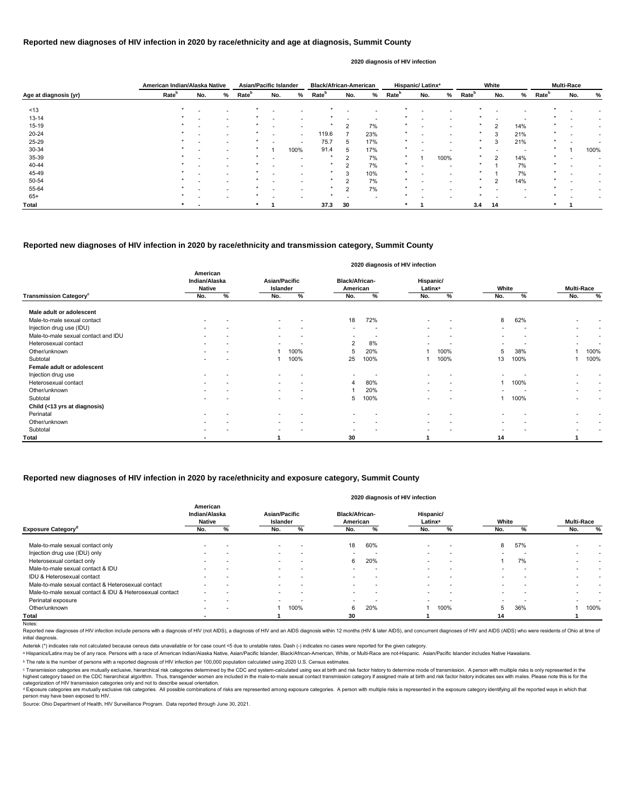© Transmission categories are mutually exclusive, hierarchical risk categories determined by the CDC and system-calculated using sex at birth and risk factor history to determine mode of transmission. A person with multip highest category based on the CDC hierarchical algorithm. Thus, transgender women are included in the male-to-male sexual contact transmission category if assigned male at birth and risk factor history indicates sex with m categorization of HIV transmission categories only and not to describe sexual orientation.

<sup>d</sup> Exposure categories are mutually exclusive risk categories. All possible combinations of risks are represented among exposure categories. A person with multiple risks is represented in the exposure category identifying person may have been exposed to HIV.

Notes:

Source: Ohio Department of Health, HIV Surveillance Program. Data reported through June 30, 2021.

|                       | American Indian/Alaska Native |     |                          | <b>Asian/Pacific Islander</b> |     |      | <b>Black/African-American</b> |             |                          |                   | Hispanic/Latinx <sup>a</sup> |      |                   | White          |                          |                   | <b>Multi-Race</b> |      |
|-----------------------|-------------------------------|-----|--------------------------|-------------------------------|-----|------|-------------------------------|-------------|--------------------------|-------------------|------------------------------|------|-------------------|----------------|--------------------------|-------------------|-------------------|------|
| Age at diagnosis (yr) | Rate <sup>b</sup>             | No. | %                        | Rate <sup>b</sup>             | No. | %    | Rate <sup>b</sup>             | No.         | %                        | Rate <sup>b</sup> | No.                          | %    | Rate <sup>b</sup> | No.            | %                        | Rate <sup>b</sup> | No.               | %    |
|                       | $\star$                       |     |                          |                               |     |      |                               |             |                          |                   |                              |      |                   |                |                          |                   |                   |      |
| ~13                   |                               |     |                          |                               |     |      |                               |             |                          |                   |                              |      |                   |                |                          |                   |                   |      |
| $13 - 14$             |                               |     |                          |                               |     |      |                               |             | $\overline{\phantom{0}}$ |                   |                              |      |                   |                |                          |                   |                   |      |
| $15 - 19$             |                               |     | $\overline{\phantom{0}}$ |                               |     |      |                               | റ           | 7%                       |                   |                              |      |                   | 2              | 14%                      |                   |                   |      |
| 20-24                 |                               |     |                          |                               |     |      | 119.6                         |             | 23%                      |                   |                              |      |                   | 3              | 21%                      | $\star$           |                   |      |
| 25-29                 |                               |     |                          |                               |     |      | 75.7                          | 5           | 17%                      |                   |                              |      |                   | 3              | 21%                      |                   |                   |      |
| 30-34                 |                               |     | $\overline{\phantom{0}}$ | *                             |     | 100% | 91.4                          | $\mathbf b$ | 17%                      |                   |                              |      |                   |                | $\overline{\phantom{a}}$ | $\star$           |                   | 100% |
| 35-39                 |                               |     | $\overline{\phantom{0}}$ |                               |     |      |                               | っ           | 7%                       |                   |                              | 100% | $\star$           | $\overline{2}$ | 14%                      | $\ast$            |                   |      |
| 40-44                 |                               |     |                          |                               |     |      |                               | $\Omega$    | 7%                       |                   |                              |      |                   |                | 7%                       | $\star$           |                   |      |
| 45-49                 |                               |     | $\overline{\phantom{0}}$ |                               |     |      |                               |             | 10%                      |                   |                              |      |                   |                | 7%                       |                   |                   |      |
| 50-54                 |                               |     | $\overline{\phantom{0}}$ |                               |     |      |                               |             | 7%                       |                   |                              |      | $\ast$            | 2              | 14%                      |                   |                   |      |
| 55-64                 |                               |     |                          |                               |     |      |                               |             | 7%                       |                   |                              |      |                   |                |                          |                   |                   |      |
| $65+$                 |                               |     |                          |                               |     |      |                               |             | $\overline{\phantom{0}}$ |                   |                              |      |                   |                |                          |                   |                   |      |
| <b>Total</b>          | $\star$                       |     |                          |                               |     |      | 37.3                          | 30          |                          |                   |                              |      | 3.4               | 14             |                          | *                 |                   |      |

#### **Reported new diagnoses of HIV infection in 2020 by race/ethnicity and exposure category, Summit County**

|                                          |                          |                                            |                          |                           |                          | 2020 diagnosis of HIV infection   |                          |                                  |                          |                 |                          |                          |
|------------------------------------------|--------------------------|--------------------------------------------|--------------------------|---------------------------|--------------------------|-----------------------------------|--------------------------|----------------------------------|--------------------------|-----------------|--------------------------|--------------------------|
|                                          |                          | American<br>Indian/Alaska<br><b>Native</b> |                          | Asian/Pacific<br>Islander |                          | <b>Black/African-</b><br>American |                          | Hispanic/<br>Latinx <sup>a</sup> | White                    |                 | <b>Multi-Race</b>        |                          |
| <b>Transmission Category<sup>c</sup></b> | No.                      | %                                          | No.                      | %                         | No.                      | $\frac{9}{6}$                     | No.                      | %                                | No.                      | $\overline{\%}$ | No.                      | %                        |
| Male adult or adolescent                 |                          |                                            |                          |                           |                          |                                   |                          |                                  |                          |                 |                          |                          |
| Male-to-male sexual contact              |                          |                                            |                          |                           | 18                       | 72%                               |                          |                                  | 8                        | 62%             |                          |                          |
| Injection drug use (IDU)                 |                          |                                            |                          |                           | $\overline{\phantom{0}}$ |                                   |                          |                                  |                          |                 |                          |                          |
| Male-to-male sexual contact and IDU      |                          |                                            | $\sim$                   | <b>1</b>                  | $\overline{\phantom{0}}$ | $\overline{\phantom{a}}$          | $\overline{\phantom{0}}$ |                                  | $\overline{\phantom{0}}$ |                 | $\overline{\phantom{a}}$ |                          |
| Heterosexual contact                     | $\blacksquare$           |                                            |                          |                           | $\overline{2}$           | 8%                                |                          |                                  |                          |                 |                          |                          |
| Other/unknown                            |                          |                                            |                          | 100%                      | 5                        | 20%                               |                          | 100%                             | 5                        | 38%             |                          | 100%                     |
| Subtotal                                 | $\overline{\phantom{0}}$ |                                            |                          | 100%                      | 25                       | 100%                              |                          | 100%                             | 13                       | 100%            |                          | 100%                     |
| Female adult or adolescent               |                          |                                            |                          |                           |                          |                                   |                          |                                  |                          |                 |                          |                          |
| Injection drug use                       | $\overline{\phantom{a}}$ |                                            | $\overline{\phantom{0}}$ | $\overline{\phantom{a}}$  | $\overline{\phantom{a}}$ | $\overline{\phantom{a}}$          | $\sim$                   | $\overline{\phantom{0}}$         | $\overline{\phantom{0}}$ |                 |                          |                          |
| Heterosexual contact                     |                          | $\overline{\phantom{a}}$                   |                          | $\overline{\phantom{a}}$  | 4                        | 80%                               | $\overline{\phantom{0}}$ |                                  |                          | 100%            |                          | $\overline{\phantom{0}}$ |
| Other/unknown                            |                          |                                            |                          |                           |                          | 20%                               |                          |                                  |                          |                 | $\overline{\phantom{a}}$ | $\overline{\phantom{a}}$ |
| Subtotal                                 | $\overline{a}$           |                                            |                          | $\overline{\phantom{a}}$  | 5                        | 100%                              | $\overline{\phantom{0}}$ | $\overline{\phantom{a}}$         |                          | 100%            |                          |                          |
| Child (<13 yrs at diagnosis)             |                          |                                            |                          |                           |                          |                                   |                          |                                  |                          |                 |                          |                          |
| Perinatal                                |                          |                                            |                          |                           | $\overline{\phantom{0}}$ |                                   |                          |                                  | $\overline{\phantom{a}}$ |                 |                          |                          |
| Other/unknown                            |                          |                                            |                          |                           | $\overline{\phantom{0}}$ |                                   |                          |                                  | $\overline{\phantom{0}}$ |                 | $\overline{\phantom{0}}$ |                          |
| Subtotal                                 | $\overline{\phantom{0}}$ |                                            |                          |                           | $\overline{\phantom{0}}$ | $\overline{\phantom{0}}$          | $\overline{\phantom{0}}$ |                                  | $\overline{\phantom{0}}$ |                 |                          | $\overline{\phantom{0}}$ |
| Total                                    |                          |                                            |                          |                           | 30                       |                                   |                          |                                  | 14                       |                 |                          |                          |

|                                                          | American<br>Indian/Alaska<br><b>Native</b> |                          | Asian/Pacific<br>Islander |      | <b>Black/African-</b><br>American |                          | Hispanic/<br>Latinx <sup>a</sup> |                          | White                    |                          | <b>Multi-Race</b>        |
|----------------------------------------------------------|--------------------------------------------|--------------------------|---------------------------|------|-----------------------------------|--------------------------|----------------------------------|--------------------------|--------------------------|--------------------------|--------------------------|
| <b>Exposure Category</b> <sup>a</sup>                    | No.                                        | %                        | No.                       | %    | No.                               | %                        | No.                              | %                        | No.                      | %                        | %<br>No.                 |
| Male-to-male sexual contact only                         | $\overline{\phantom{0}}$                   | $\overline{\phantom{0}}$ | $\overline{\phantom{0}}$  |      | 18                                | 60%                      | $\overline{\phantom{0}}$         | $\overline{\phantom{0}}$ | 8                        | 57%                      |                          |
| Injection drug use (IDU) only                            | $\overline{\phantom{0}}$                   | $\overline{\phantom{0}}$ | $\overline{\phantom{0}}$  |      |                                   | . .                      | $\overline{\phantom{0}}$         | $\overline{\phantom{a}}$ |                          |                          |                          |
| Heterosexual contact only                                | $\overline{\phantom{a}}$                   | $\overline{\phantom{a}}$ | $\overline{\phantom{0}}$  |      | 6                                 | 20%                      | $\overline{\phantom{0}}$         | $\overline{\phantom{a}}$ |                          | 7%                       |                          |
| Male-to-male sexual contact & IDU                        | $\overline{\phantom{0}}$                   | $\overline{\phantom{0}}$ | $\overline{\phantom{0}}$  |      |                                   | $\overline{\phantom{a}}$ | $\overline{\phantom{0}}$         | $\overline{\phantom{0}}$ |                          | $\overline{\phantom{a}}$ |                          |
| IDU & Heterosexual contact                               | $\overline{\phantom{0}}$                   | $\overline{\phantom{0}}$ | $\overline{\phantom{0}}$  |      |                                   |                          | $\overline{\phantom{0}}$         | $\overline{\phantom{0}}$ |                          |                          |                          |
| Male-to-male sexual contact & Heterosexual contact       | $\overline{\phantom{a}}$                   | $\overline{\phantom{a}}$ |                           |      |                                   | $\overline{\phantom{a}}$ | $\overline{\phantom{0}}$         | $\overline{\phantom{0}}$ |                          | $\overline{\phantom{0}}$ |                          |
| Male-to-male sexual contact & IDU & Heterosexual contact | $\overline{\phantom{0}}$                   | $\overline{\phantom{a}}$ |                           |      |                                   | $\overline{\phantom{0}}$ | $\overline{\phantom{0}}$         | $\overline{\phantom{0}}$ |                          |                          |                          |
| Perinatal exposure                                       | $\sim$                                     | $\overline{\phantom{0}}$ | $\overline{\phantom{0}}$  |      | $\sim$                            | . .                      | $\overline{\phantom{0}}$         | $\overline{\phantom{0}}$ | $\overline{\phantom{0}}$ |                          | $\overline{\phantom{0}}$ |
| Other/unknown                                            | $\sim$                                     | $\overline{\phantom{a}}$ |                           | 100% | 6                                 | 20%                      |                                  | 100%                     | 5                        | 36%                      | 100%                     |
| Total                                                    | $\overline{\phantom{a}}$                   |                          |                           |      | 30                                |                          |                                  |                          | 14                       |                          |                          |

Reported new diagnoses of HIV infection include persons with a diagnosis of HIV (not AIDS), a diagnosis of HIV and an AIDS diagnosis within 12 months (HIV & later AIDS), and concurrent diagnoses of HIV and AIDS (AIDS) who initial diagnosis

#### **2020 diagnosis of HIV infection**

Asterisk (\*) indicates rate not calculated because census data unavailable or for case count <5 due to unstable rates. Dash (-) indicates no cases were reported for the given category.

a Hispanics/Latinx may be of any race. Persons with a race of American Indian/Alaska Native, Asian/Pacific Islander, Black/African-American, White, or Multi-Race are not-Hispanic. Asian/Pacific Islander includes Native Haw

<sup>b</sup> The rate is the number of persons with a reported diagnosis of HIV infection per 100,000 population calculated using 2020 U.S. Census estimates.

#### **Reported new diagnoses of HIV infection in 2020 by race/ethnicity and transmission category, Summit County**

### **Reported new diagnoses of HIV infection in 2020 by race/ethnicity and age at diagnosis, Summit County**

#### **2020 diagnosis of HIV infection**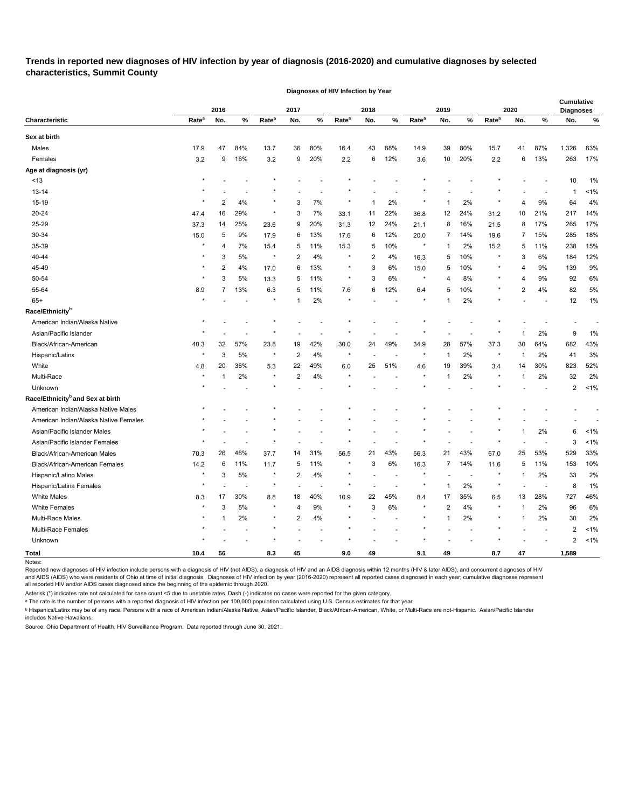**Trends in reported new diagnoses of HIV infection by year of diagnosis (2016-2020) and cumulative diagnoses by selected characteristics, Summit County** 

|                                              |                   |                |                          |                   |                |                          | Diagnoses of HIV Infection by Year |      |                          |                   |                |                          |                   |              |                          |                                       |         |
|----------------------------------------------|-------------------|----------------|--------------------------|-------------------|----------------|--------------------------|------------------------------------|------|--------------------------|-------------------|----------------|--------------------------|-------------------|--------------|--------------------------|---------------------------------------|---------|
|                                              |                   | 2016           |                          |                   | 2017           |                          |                                    | 2018 |                          |                   | 2019           |                          |                   | 2020         |                          | <b>Cumulative</b><br><b>Diagnoses</b> |         |
| <b>Characteristic</b>                        | Rate <sup>a</sup> | No.            | $\%$                     | Rate <sup>a</sup> | No.            | $\%$                     | Rate <sup>a</sup>                  | No.  | $\%$                     | Rate <sup>a</sup> | No.            | %                        | Rate <sup>a</sup> | No.          | $\%$                     | No.                                   | %       |
| Sex at birth                                 |                   |                |                          |                   |                |                          |                                    |      |                          |                   |                |                          |                   |              |                          |                                       |         |
| Males                                        | 17.9              | 47             | 84%                      | 13.7              | 36             | 80%                      | 16.4                               | 43   | 88%                      | 14.9              | 39             | 80%                      | 15.7              | 41           | 87%                      | 1,326                                 | 83%     |
| Females                                      | 3.2               | 9              | 16%                      | 3.2               | 9              | 20%                      | 2.2                                | 6    | 12%                      | 3.6               | 10             | 20%                      | 2.2               | 6            | 13%                      | 263                                   | 17%     |
| Age at diagnosis (yr)                        |                   |                |                          |                   |                |                          |                                    |      |                          |                   |                |                          |                   |              |                          |                                       |         |
| ~13                                          | $^\star$          |                |                          |                   |                |                          |                                    |      |                          |                   |                |                          |                   |              |                          | 10                                    | 1%      |
| $13 - 14$                                    |                   |                |                          |                   |                |                          |                                    |      |                          |                   |                |                          |                   |              |                          | 1                                     | 1%      |
| 15-19                                        |                   | 2              | 4%                       | $\star$           | 3              | 7%                       |                                    |      | 2%                       |                   |                | 2%                       |                   | 4            | 9%                       | 64                                    | 4%      |
| $20 - 24$                                    | 47.4              | 16             | 29%                      | $\star$           | 3              | 7%                       | 33.1                               | 11   | 22%                      | 36.8              | 12             | 24%                      | 31.2              | 10           | 21%                      | 217                                   | 14%     |
| 25-29                                        | 37.3              | 14             | 25%                      | 23.6              | 9              | 20%                      | 31.3                               | 12   | 24%                      | 21.1              | 8              | 16%                      | 21.5              | 8            | 17%                      | 265                                   | 17%     |
| 30-34                                        | 15.0              | 5              | 9%                       | 17.9              | 6              | 13%                      | 17.6                               | 6    | 12%                      | 20.0              | 7              | 14%                      | 19.6              | 7            | 15%                      | 285                                   | 18%     |
| 35-39                                        |                   | 4              | 7%                       | 15.4              | 5              | 11%                      | 15.3                               | 5    | 10%                      | $\star$           | 1              | 2%                       | 15.2              | 5            | 11%                      | 238                                   | 15%     |
| 40-44                                        |                   | 3              | 5%                       | $\star$           | $\overline{2}$ | 4%                       | $\star$                            | 2    | 4%                       | 16.3              | 5              | 10%                      | $\star$           | 3            | 6%                       | 184                                   | 12%     |
| 45-49                                        | $^\star$          | $\overline{c}$ | 4%                       | 17.0              | 6              | 13%                      | $\star$                            | 3    | 6%                       | 15.0              | 5              | 10%                      |                   | 4            | 9%                       | 139                                   | 9%      |
| 50-54                                        |                   | 3              | 5%                       | 13.3              | 5              | 11%                      | $\star$                            | 3    | 6%                       | $\star$           | 4              | 8%                       |                   | 4            | 9%                       | 92                                    | 6%      |
| 55-64                                        | 8.9               | 7              | 13%                      | 6.3               | 5              | 11%                      | 7.6                                | 6    | 12%                      | 6.4               | 5              | 10%                      |                   | 2            | 4%                       | 82                                    | 5%      |
| $65+$                                        | $\star$           |                |                          | $\ast$            |                | 2%                       |                                    |      |                          |                   | 1              | 2%                       |                   |              |                          | 12                                    | 1%      |
| Race/Ethnicity <sup>b</sup>                  |                   |                |                          |                   |                |                          |                                    |      |                          |                   |                |                          |                   |              |                          |                                       |         |
| American Indian/Alaska Native                |                   |                |                          |                   |                |                          |                                    |      |                          |                   |                |                          |                   |              |                          |                                       |         |
| Asian/Pacific Islander                       |                   |                |                          |                   |                |                          |                                    |      |                          |                   |                |                          |                   |              | 2%                       | 9                                     | 1%      |
| Black/African-American                       | 40.3              | 32             | 57%                      | 23.8              | 19             | 42%                      | 30.0                               | 24   | 49%                      | 34.9              | 28             | 57%                      | 37.3              | 30           | 64%                      | 682                                   | 43%     |
| Hispanic/Latinx                              | $\star$           | 3              | 5%                       | $\star$           | $\overline{2}$ | 4%                       | $\star$                            |      |                          | $\star$           | -1             | 2%                       | $\star$           |              | 2%                       | 41                                    | 3%      |
| White                                        | 4.8               | 20             | 36%                      | 5.3               | 22             | 49%                      | 6.0                                | 25   | 51%                      | 4.6               | 19             | 39%                      | 3.4               | 14           | 30%                      | 823                                   | 52%     |
| Multi-Race                                   | $\star$           |                | 2%                       | $\star$           | $\overline{2}$ | 4%                       | $\star$                            |      |                          |                   | 1              | 2%                       |                   |              | 2%                       | 32                                    | 2%      |
| Unknown                                      |                   |                |                          | $\star$           |                |                          |                                    |      |                          |                   |                |                          |                   |              |                          | 2                                     | $< 1\%$ |
| Race/Ethnicity <sup>b</sup> and Sex at birth |                   |                |                          |                   |                |                          |                                    |      |                          |                   |                |                          |                   |              |                          |                                       |         |
| American Indian/Alaska Native Males          |                   |                |                          |                   |                |                          |                                    |      |                          |                   |                |                          |                   |              |                          |                                       |         |
| American Indian/Alaska Native Females        |                   |                |                          |                   |                |                          |                                    |      |                          |                   |                |                          |                   |              |                          |                                       |         |
| Asian/Pacific Islander Males                 |                   |                |                          |                   |                |                          |                                    |      |                          |                   |                |                          |                   |              | 2%                       | 6                                     | 1%      |
| Asian/Pacific Islander Females               |                   |                |                          |                   |                |                          |                                    |      |                          |                   |                |                          |                   |              |                          | 3                                     | 1%      |
| Black/African-American Males                 | 70.3              | 26             | 46%                      | 37.7              | 14             | 31%                      | 56.5                               | 21   | 43%                      | 56.3              | 21             | 43%                      | 67.0              | 25           | 53%                      | 529                                   | 33%     |
| <b>Black/African-American Females</b>        | 14.2              | 6              | 11%                      | 11.7              | 5              | 11%                      | $\star$                            | 3    | 6%                       | 16.3              | $\overline{7}$ | 14%                      | 11.6              | 5            | 11%                      | 153                                   | 10%     |
| Hispanic/Latino Males                        | $\star$           | 3              | 5%                       | $\star$           | $\overline{2}$ | 4%                       | $\star$                            |      | $\overline{\phantom{a}}$ | $\star$           |                | $\overline{\phantom{a}}$ | $\star$           | $\mathbf{1}$ | 2%                       | 33                                    | 2%      |
| Hispanic/Latina Females                      | $\star$           |                | $\overline{\phantom{a}}$ | $\star$           |                | $\overline{\phantom{a}}$ | $\star$                            |      |                          | $\star$           | -1             | 2%                       | $^\star$          |              | $\overline{\phantom{a}}$ | 8                                     | 1%      |
| <b>White Males</b>                           | 8.3               | 17             | 30%                      | 8.8               | 18             | 40%                      | 10.9                               | 22   | 45%                      | 8.4               | 17             | 35%                      | 6.5               | 13           | 28%                      | 727                                   | 46%     |
| <b>White Females</b>                         |                   | 3              | 5%                       | $\star$           | $\overline{4}$ | 9%                       | $\star$                            | 3    | 6%                       | $\star$           | 2              | 4%                       | $\star$           | $\mathbf{1}$ | 2%                       | 96                                    | 6%      |
| Multi-Race Males                             | $\star$           |                | 2%                       | $\star$           | $\overline{c}$ | $4\%$                    | $\star$                            |      |                          |                   | $\mathbf{1}$   | 2%                       | $\star$           |              | 2%                       | 30                                    | 2%      |
| Multi-Race Females                           |                   |                |                          | $\star$           |                |                          |                                    |      |                          |                   |                |                          | $\star$           |              | $\sim$                   | $\overline{2}$                        | 1%      |
| Unknown                                      |                   |                |                          | $\star$           |                |                          |                                    |      |                          |                   |                |                          |                   |              |                          | $\overline{\mathbf{c}}$               | 1%      |
| <b>Total</b>                                 | 10.4              | 56             |                          | 8.3               | 45             |                          | 9.0                                | 49   |                          | 9.1               | 49             |                          | 8.7               | 47           |                          | 1,589                                 |         |

Notes:

Reported new diagnoses of HIV infection include persons with a diagnosis of HIV (not AIDS), a diagnosis of HIV and an AIDS diagnosis within 12 months (HIV & later AIDS), and concurrent diagnoses of HIV

and AIDS (AIDS) who were residents of Ohio at time of initial diagnosis. Diagnoses of HIV infection by year (2016-2020) represent all reported cases diagnosed in each year; cumulative diagnoses represent all reported HIV and/or AIDS cases diagnosed since the beginning of the epidemic through 2020.

Asterisk (\*) indicates rate not calculated for case count <5 due to unstable rates. Dash (-) indicates no cases were reported for the given category.

a The rate is the number of persons with a reported diagnosis of HIV infection per 100,000 population calculated using U.S. Census estimates for that year.

**b Hispanics/Latinx may be of any race. Persons with a race of American Indian/Alaska Native, Asian/Pacific Islander, Black/African-American, White, or Multi-Race are not-Hispanic. Asian/Pacific Islander** 

includes Native Hawaiians.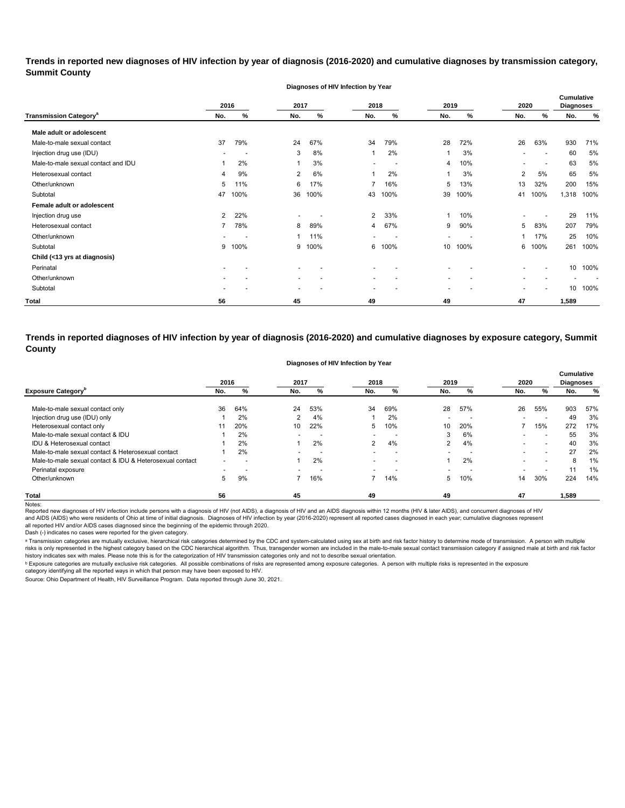**Trends in reported new diagnoses of HIV infection by year of diagnosis (2016-2020) and cumulative diagnoses by transmission category, Summit County**

|                                          |                          |      |                          | Diagnoses of HIV Infection by Year |                          |                          |                          |                          |      |                          |                                       |      |
|------------------------------------------|--------------------------|------|--------------------------|------------------------------------|--------------------------|--------------------------|--------------------------|--------------------------|------|--------------------------|---------------------------------------|------|
|                                          |                          | 2016 | 2017                     |                                    | 2018                     |                          | 2019                     |                          | 2020 |                          | <b>Cumulative</b><br><b>Diagnoses</b> |      |
| <b>Transmission Category<sup>a</sup></b> | No.                      | $\%$ | No.                      | %                                  | No.                      | %                        | No.                      | %                        | No.  | %                        | No.                                   | %    |
| Male adult or adolescent                 |                          |      |                          |                                    |                          |                          |                          |                          |      |                          |                                       |      |
| Male-to-male sexual contact              | 37                       | 79%  | 24                       | 67%                                | 34                       | 79%                      | 28                       | 72%                      | 26   | 63%                      | 930                                   | 71%  |
| Injection drug use (IDU)                 |                          |      | 3                        | 8%                                 |                          | 2%                       | 1                        | 3%                       |      | $\overline{\phantom{a}}$ | 60                                    | 5%   |
| Male-to-male sexual contact and IDU      |                          | 2%   |                          | 3%                                 | $\overline{\phantom{0}}$ | ٠                        | 4                        | 10%                      |      | $\overline{\phantom{a}}$ | 63                                    | 5%   |
| Heterosexual contact                     | 4                        | 9%   | 2                        | 6%                                 | -1                       | 2%                       | 1                        | 3%                       | 2    | 5%                       | 65                                    | 5%   |
| Other/unknown                            | 5                        | 11%  | 6                        | 17%                                |                          | 16%                      | 5                        | 13%                      | 13   | 32%                      | 200                                   | 15%  |
| Subtotal                                 | 47                       | 100% | 36                       | 100%                               | 43                       | 100%                     | 39                       | 100%                     | 41   | 100%                     | 1,318                                 | 100% |
| Female adult or adolescent               |                          |      |                          |                                    |                          |                          |                          |                          |      |                          |                                       |      |
| Injection drug use                       | $\overline{2}$           | 22%  |                          |                                    | 2                        | 33%                      | 1                        | 10%                      |      |                          | 29                                    | 11%  |
| Heterosexual contact                     | $\overline{7}$           | 78%  | 8                        | 89%                                | 4                        | 67%                      | 9                        | 90%                      | 5    | 83%                      | 207                                   | 79%  |
| Other/unknown                            | $\overline{\phantom{0}}$ |      |                          | 11%                                | $\overline{\phantom{0}}$ | $\overline{\phantom{0}}$ | $\overline{\phantom{0}}$ | $\overline{\phantom{0}}$ |      | 17%                      | 25                                    | 10%  |
| Subtotal                                 | 9                        | 100% | 9                        | 100%                               | 6                        | 100%                     | 10                       | 100%                     | 6    | 100%                     | 261                                   | 100% |
| Child (<13 yrs at diagnosis)             |                          |      |                          |                                    |                          |                          |                          |                          |      |                          |                                       |      |
| Perinatal                                |                          |      |                          |                                    |                          |                          |                          |                          |      |                          | 10                                    | 100% |
| Other/unknown                            |                          |      | $\overline{\phantom{0}}$ |                                    | $\overline{\phantom{a}}$ | $\overline{\phantom{a}}$ | $\overline{\phantom{a}}$ |                          |      |                          |                                       |      |
| Subtotal                                 |                          |      |                          |                                    |                          |                          |                          |                          |      |                          | 10                                    | 100% |
| <b>Total</b>                             | 56                       |      | 45                       |                                    | 49                       |                          | 49                       |                          | 47   |                          | 1,589                                 |      |

**Trends in reported diagnoses of HIV infection by year of diagnosis (2016-2020) and cumulative diagnoses by exposure category, Summit County**

| Diagnoses of HIV Infection by Year                       |                          |     |                          |          |                          |                          |                          |                          |                          |                          |                                       |       |
|----------------------------------------------------------|--------------------------|-----|--------------------------|----------|--------------------------|--------------------------|--------------------------|--------------------------|--------------------------|--------------------------|---------------------------------------|-------|
|                                                          | 2016                     |     | 2017                     |          | 2018                     |                          | 2019                     |                          | 2020                     |                          | <b>Cumulative</b><br><b>Diagnoses</b> |       |
| <b>Exposure Category</b> <sup>p</sup>                    | No.                      | %   | No.                      | %        | No.                      | %                        | No.                      | %                        | No.                      | %                        | No.                                   | %     |
| Male-to-male sexual contact only                         | 36                       | 64% | 24                       | 53%      | 34                       | 69%                      | 28                       | 57%                      | 26                       | 55%                      | 903                                   | 57%   |
| Injection drug use (IDU) only                            |                          | 2%  | 2                        | 4%       |                          | 2%                       | $\overline{\phantom{0}}$ | $\overline{\phantom{a}}$ | $\overline{\phantom{0}}$ | $\overline{\phantom{0}}$ | 49                                    | 3%    |
| Heterosexual contact only                                | 11                       | 20% | 10                       | 22%      | 5                        | 10%                      | 10                       | 20%                      |                          | 15%                      | 272                                   | 17%   |
| Male-to-male sexual contact & IDU                        |                          | 2%  | $\overline{\phantom{0}}$ | <b>1</b> | $\overline{\phantom{0}}$ |                          | 3                        | 6%                       | $\overline{\phantom{0}}$ | $\overline{\phantom{a}}$ | 55                                    | 3%    |
| IDU & Heterosexual contact                               |                          | 2%  |                          | 2%       | $\overline{2}$           | 4%                       | $\overline{2}$           | 4%                       | $\overline{\phantom{0}}$ | $\overline{\phantom{0}}$ | 40                                    | 3%    |
| Male-to-male sexual contact & Heterosexual contact       |                          | 2%  | $\overline{\phantom{0}}$ |          | $\overline{\phantom{0}}$ | $\overline{\phantom{0}}$ | $\overline{\phantom{0}}$ | $\overline{\phantom{a}}$ | $\overline{\phantom{0}}$ | $\sim$                   | 27                                    | 2%    |
| Male-to-male sexual contact & IDU & Heterosexual contact | $\overline{\phantom{0}}$ |     |                          | 2%       | $\overline{\phantom{0}}$ | $\overline{\phantom{0}}$ |                          | 2%                       | $\overline{\phantom{0}}$ | $\overline{\phantom{0}}$ | 8                                     | 1%    |
| Perinatal exposure                                       | $\overline{\phantom{0}}$ |     | $\overline{\phantom{0}}$ |          |                          |                          | $\overline{\phantom{0}}$ |                          | $\overline{\phantom{0}}$ | $\overline{\phantom{0}}$ |                                       | $1\%$ |
| Other/unknown                                            | 5                        | 9%  | ⇁                        | 16%      |                          | 14%                      | 5                        | 10%                      | 14                       | 30%                      | 224                                   | 14%   |
| Total                                                    | 56                       |     | 45                       |          | 49                       |                          | 49                       |                          | 47                       |                          | 1,589                                 |       |

Notes:

Reported new diagnoses of HIV infection include persons with a diagnosis of HIV (not AIDS), a diagnosis of HIV and an AIDS diagnosis within 12 months (HIV & later AIDS), and concurrent diagnoses of HIV and AIDS (AIDS) who were residents of Ohio at time of initial diagnosis. Diagnoses of HIV infection by year (2016-2020) represent all reported cases diagnosed in each year; cumulative diagnoses represent all reported HIV and/or AIDS cases diagnosed since the beginning of the epidemic through 2020.

Dash (-) indicates no cases were reported for the given category.

a Transmission categories are mutually exclusive, hierarchical risk categories determined by the CDC and system-calculated using sex at birth and risk factor history to determine mode of transmission. A person with multipl risks is only represented in the highest category based on the CDC hierarchical algorithm. Thus, transgender women are included in the male-to-male sexual contact transmission category if assigned male at birth and risk fa history indicates sex with males. Please note this is for the categorization of HIV transmission categories only and not to describe sexual orientation.

**b** Exposure categories are mutually exclusive risk categories. All possible combinations of risks are represented among exposure categories. A person with multiple risks is represented in the exposure

category identifying all the reported ways in which that person may have been exposed to HIV.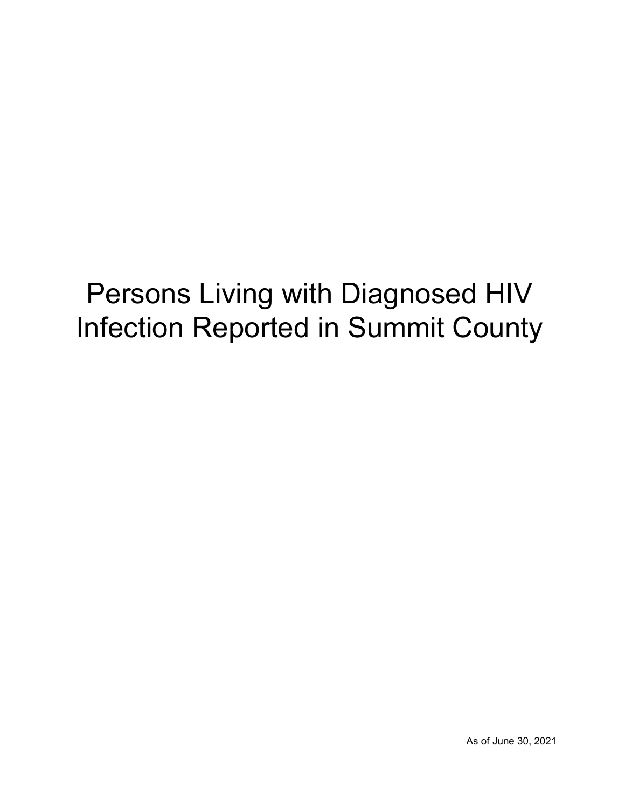# Persons Living with Diagnosed HIV Infection Reported in Summit County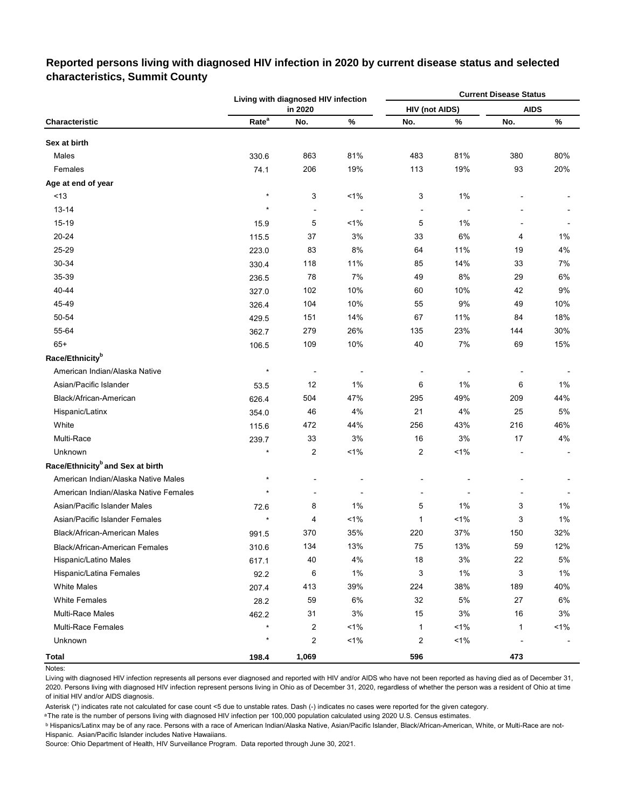## **Reported persons living with diagnosed HIV infection in 2020 by current disease status and selected characteristics, Summit County**

|                                              |                   | Living with diagnosed HIV infection |         |                          |                          | <b>Current Disease Status</b> |       |
|----------------------------------------------|-------------------|-------------------------------------|---------|--------------------------|--------------------------|-------------------------------|-------|
|                                              |                   | in 2020                             |         | <b>HIV (not AIDS)</b>    |                          | <b>AIDS</b>                   |       |
| Characteristic                               | Rate <sup>a</sup> | No.                                 | $\%$    | No.                      | %                        | No.                           | $\%$  |
| Sex at birth                                 |                   |                                     |         |                          |                          |                               |       |
| Males                                        | 330.6             | 863                                 | 81%     | 483                      | 81%                      | 380                           | 80%   |
| Females                                      | 74.1              | 206                                 | 19%     | 113                      | 19%                      | 93                            | 20%   |
| Age at end of year                           |                   |                                     |         |                          |                          |                               |       |
| < 13                                         | $^\star$          | 3                                   | $1\%$   | 3                        | 1%                       |                               |       |
| $13 - 14$                                    | $\star$           | $\overline{\phantom{a}}$            |         | $\overline{\phantom{a}}$ | $\overline{\phantom{a}}$ |                               |       |
| 15-19                                        | 15.9              | 5                                   | 1%      | 5                        | 1%                       |                               |       |
| 20-24                                        | 115.5             | 37                                  | 3%      | 33                       | 6%                       | 4                             | 1%    |
| 25-29                                        | 223.0             | 83                                  | 8%      | 64                       | 11%                      | 19                            | 4%    |
| 30-34                                        | 330.4             | 118                                 | 11%     | 85                       | 14%                      | 33                            | 7%    |
| 35-39                                        | 236.5             | 78                                  | 7%      | 49                       | 8%                       | 29                            | 6%    |
| 40-44                                        | 327.0             | 102                                 | 10%     | 60                       | 10%                      | 42                            | 9%    |
| 45-49                                        | 326.4             | 104                                 | 10%     | 55                       | 9%                       | 49                            | 10%   |
| 50-54                                        | 429.5             | 151                                 | 14%     | 67                       | 11%                      | 84                            | 18%   |
| 55-64                                        | 362.7             | 279                                 | 26%     | 135                      | 23%                      | 144                           | 30%   |
| $65+$                                        | 106.5             | 109                                 | 10%     | 40                       | 7%                       | 69                            | 15%   |
| Race/Ethnicity <sup>b</sup>                  |                   |                                     |         |                          |                          |                               |       |
| American Indian/Alaska Native                | $\star$           |                                     |         |                          |                          |                               |       |
| Asian/Pacific Islander                       | 53.5              | 12                                  | 1%      | 6                        | 1%                       | 6                             | 1%    |
| Black/African-American                       | 626.4             | 504                                 | 47%     | 295                      | 49%                      | 209                           | 44%   |
| Hispanic/Latinx                              | 354.0             | 46                                  | 4%      | 21                       | 4%                       | 25                            | 5%    |
| White                                        | 115.6             | 472                                 | 44%     | 256                      | 43%                      | 216                           | 46%   |
| Multi-Race                                   | 239.7             | 33                                  | 3%      | 16                       | 3%                       | 17                            | 4%    |
| Unknown                                      | $\star$           | 2                                   | $1\%$   | 2                        | 1%                       |                               |       |
| Race/Ethnicity <sup>b</sup> and Sex at birth |                   |                                     |         |                          |                          |                               |       |
| American Indian/Alaska Native Males          | $\star$           |                                     |         |                          |                          |                               |       |
| American Indian/Alaska Native Females        | $\star$           |                                     |         |                          | $\overline{a}$           |                               |       |
| Asian/Pacific Islander Males                 | 72.6              | 8                                   | 1%      | 5                        | 1%                       | 3                             | 1%    |
| Asian/Pacific Islander Females               | $\star$           | 4                                   | $1\%$   | 1                        | 1%                       | 3                             | 1%    |
| Black/African-American Males                 | 991.5             | 370                                 | 35%     | 220                      | 37%                      | 150                           | 32%   |
| <b>Black/African-American Females</b>        | 310.6             | 134                                 | 13%     | 75                       | 13%                      | 59                            | 12%   |
| Hispanic/Latino Males                        | 617.1             | 40                                  | 4%      | 18                       | 3%                       | 22                            | 5%    |
| Hispanic/Latina Females                      | 92.2              | 6                                   | 1%      | 3                        | 1%                       | 3                             | 1%    |
| <b>White Males</b>                           | 207.4             | 413                                 | 39%     | 224                      | 38%                      | 189                           | 40%   |
| <b>White Females</b>                         | 28.2              | 59                                  | 6%      | 32                       | $5\%$                    | 27                            | 6%    |
| Multi-Race Males                             | 462.2             | 31                                  | $3%$    | 15                       | 3%                       | $16\,$                        | $3%$  |
| <b>Multi-Race Females</b>                    | $\star$           | 2                                   | $< 1\%$ | $\mathbf{1}$             | $1\%$                    | 1                             | $1\%$ |
| Unknown                                      | $\star$           | 2                                   | $1\%$   | 2                        | $1\%$                    |                               |       |
| Total                                        | 198.4             | 1,069                               |         | 596                      |                          | 473                           |       |

Notes:

Living with diagnosed HIV infection represents all persons ever diagnosed and reported with HIV and/or AIDS who have not been reported as having died as of December 31, 2020. Persons living with diagnosed HIV infection represent persons living in Ohio as of December 31, 2020, regardless of whether the person was a resident of Ohio at time of initial HIV and/or AIDS diagnosis.

Asterisk (\*) indicates rate not calculated for case count <5 due to unstable rates. Dash (-) indicates no cases were reported for the given category.

a The rate is the number of persons living with diagnosed HIV infection per 100,000 population calculated using 2020 U.S. Census estimates.

**b** Hispanics/Latinx may be of any race. Persons with a race of American Indian/Alaska Native, Asian/Pacific Islander, Black/African-American, White, or Multi-Race are not-Hispanic. Asian/Pacific Islander includes Native Hawaiians.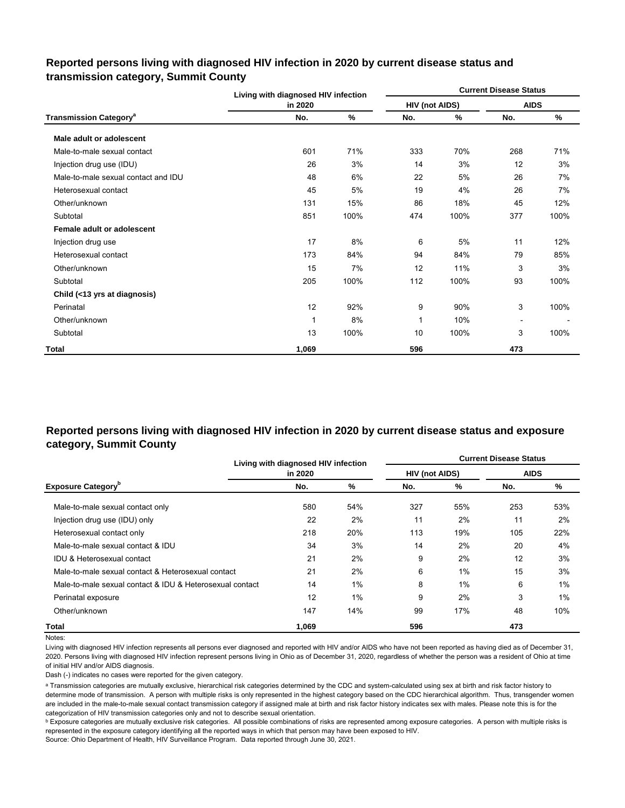|                                          | Living with diagnosed HIV infection |      |                       |      | <b>Current Disease Status</b> |      |
|------------------------------------------|-------------------------------------|------|-----------------------|------|-------------------------------|------|
|                                          | in 2020                             |      | <b>HIV (not AIDS)</b> |      | <b>AIDS</b>                   |      |
| <b>Transmission Category<sup>a</sup></b> | No.                                 | %    | No.                   | %    | No.                           | %    |
| Male adult or adolescent                 |                                     |      |                       |      |                               |      |
| Male-to-male sexual contact              | 601                                 | 71%  | 333                   | 70%  | 268                           | 71%  |
| Injection drug use (IDU)                 | 26                                  | 3%   | 14                    | 3%   | 12                            | 3%   |
| Male-to-male sexual contact and IDU      | 48                                  | 6%   | 22                    | 5%   | 26                            | 7%   |
| Heterosexual contact                     | 45                                  | 5%   | 19                    | 4%   | 26                            | 7%   |
| Other/unknown                            | 131                                 | 15%  | 86                    | 18%  | 45                            | 12%  |
| Subtotal                                 | 851                                 | 100% | 474                   | 100% | 377                           | 100% |
| Female adult or adolescent               |                                     |      |                       |      |                               |      |
| Injection drug use                       | 17                                  | 8%   | 6                     | 5%   | 11                            | 12%  |
| Heterosexual contact                     | 173                                 | 84%  | 94                    | 84%  | 79                            | 85%  |
| Other/unknown                            | 15                                  | 7%   | 12                    | 11%  | 3                             | 3%   |
| Subtotal                                 | 205                                 | 100% | 112                   | 100% | 93                            | 100% |
| Child (<13 yrs at diagnosis)             |                                     |      |                       |      |                               |      |
| Perinatal                                | 12                                  | 92%  | 9                     | 90%  | 3                             | 100% |
| Other/unknown                            | $\mathbf 1$                         | 8%   | 1                     | 10%  |                               |      |
| Subtotal                                 | 13                                  | 100% | 10                    | 100% | 3                             | 100% |
| <b>Total</b>                             | 1,069                               |      | 596                   |      | 473                           |      |

## **Reported persons living with diagnosed HIV infection in 2020 by current disease status and transmission category, Summit County**

# **Reported persons living with diagnosed HIV infection in 2020 by current disease status and exposure category, Summit County**

|                                                          | Living with diagnosed HIV infection |     | <b>Current Disease Status</b> |       |             |     |  |  |
|----------------------------------------------------------|-------------------------------------|-----|-------------------------------|-------|-------------|-----|--|--|
|                                                          | in 2020                             |     | <b>HIV (not AIDS)</b>         |       | <b>AIDS</b> |     |  |  |
| <b>Exposure Category</b> <sup>P</sup>                    | No.                                 | %   | No.                           | %     | No.         | %   |  |  |
| Male-to-male sexual contact only                         | 580                                 | 54% | 327                           | 55%   | 253         | 53% |  |  |
| Injection drug use (IDU) only                            | 22                                  | 2%  | 11                            | 2%    | 11          | 2%  |  |  |
| Heterosexual contact only                                | 218                                 | 20% | 113                           | 19%   | 105         | 22% |  |  |
| Male-to-male sexual contact & IDU                        | 34                                  | 3%  | 14                            | 2%    | 20          | 4%  |  |  |
| IDU & Heterosexual contact                               | 21                                  | 2%  | 9                             | 2%    | 12          | 3%  |  |  |
| Male-to-male sexual contact & Heterosexual contact       | 21                                  | 2%  | 6                             | $1\%$ | 15          | 3%  |  |  |
| Male-to-male sexual contact & IDU & Heterosexual contact | 14                                  | 1%  | 8                             | $1\%$ | 6           | 1%  |  |  |
| Perinatal exposure                                       | 12                                  | 1%  | 9                             | 2%    | 3           | 1%  |  |  |
| Other/unknown                                            | 147                                 | 14% | 99                            | 17%   | 48          | 10% |  |  |
| Total                                                    | 1,069                               |     | 596                           |       | 473         |     |  |  |

#### Notes:

Living with diagnosed HIV infection represents all persons ever diagnosed and reported with HIV and/or AIDS who have not been reported as having died as of December 31, 2020. Persons living with diagnosed HIV infection represent persons living in Ohio as of December 31, 2020, regardless of whether the person was a resident of Ohio at time of initial HIV and/or AIDS diagnosis.

Dash (-) indicates no cases were reported for the given category.

a Transmission categories are mutually exclusive, hierarchical risk categories determined by the CDC and system-calculated using sex at birth and risk factor history to determine mode of transmission. A person with multiple risks is only represented in the highest category based on the CDC hierarchical algorithm. Thus, transgender women are included in the male-to-male sexual contact transmission category if assigned male at birth and risk factor history indicates sex with males. Please note this is for the categorization of HIV transmission categories only and not to describe sexual orientation.

**b** Exposure categories are mutually exclusive risk categories. All possible combinations of risks are represented among exposure categories. A person with multiple risks is represented in the exposure category identifying all the reported ways in which that person may have been exposed to HIV.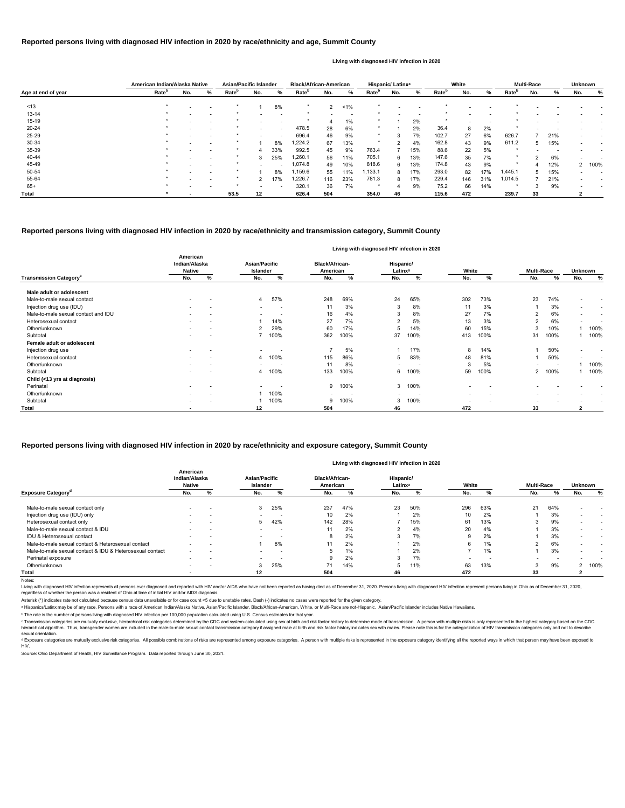○ Transmission categories are mutually exclusive, hierarchical risk categories determined by the CDC and system-calculated using sex at birth and risk factor history to determine mode of transmission. A person with multip hierarchical algorithm. Thus, transgender women are included in the male-to-male sexual contact transmission category if assigned male at birth and risk factor history indicates sex with males. Please note this is for the sexual orientation.

<sup>d</sup> Exposure categories are mutually exclusive risk categories. All possible combinations of risks are represented among exposure categories. A person with multiple risks is represented in the exposure category identifying HIV.

Source: Ohio Department of Health, HIV Surveillance Program. Data reported through June 30, 2021.

|                    |                   | American Indian/Alaska Native |                          | <b>Asian/Pacific Islander</b> |                          | <b>Black/African-American</b> |                          | Hispanic/ Latinx <sup>a</sup> |                          |                   | White |     |                   |     | <b>Multi-Race</b> |                          | Unknown     |     |     |        |
|--------------------|-------------------|-------------------------------|--------------------------|-------------------------------|--------------------------|-------------------------------|--------------------------|-------------------------------|--------------------------|-------------------|-------|-----|-------------------|-----|-------------------|--------------------------|-------------|-----|-----|--------|
| Age at end of year | Rate <sup>b</sup> | No.                           | %                        | Rate <sup>p</sup>             | No.                      | %                             | <b>Rate</b> <sup>p</sup> | No.                           | ℅                        | Rate <sup>p</sup> | No.   | ℅   | Rate <sup>p</sup> | No. | ℅                 | <b>Rate</b> <sup>p</sup> | No.         | %   | No. | %      |
| ~13                |                   |                               |                          |                               |                          | 8%                            |                          | 2                             | $1\%$                    |                   |       |     |                   |     |                   |                          |             |     |     |        |
| $13 - 14$          |                   |                               |                          |                               |                          |                               |                          |                               | $\overline{\phantom{a}}$ |                   |       |     |                   |     |                   |                          |             |     |     |        |
| $15-19$            |                   |                               |                          |                               |                          |                               |                          |                               | 1%                       |                   |       | 2%  |                   |     |                   |                          |             |     |     |        |
| 20-24              |                   |                               | $\overline{\phantom{0}}$ |                               | $\overline{\phantom{0}}$ | $\overline{\phantom{a}}$      | 478.5                    | 28                            | 6%                       |                   |       | 2%  | 36.4              | 8   | 2%                |                          |             |     |     |        |
| 25-29              |                   |                               |                          |                               |                          | $\overline{\phantom{a}}$      | 696.4                    | 46                            | 9%                       | $\star$           |       | 7%  | 102.7             | 27  | 6%                | 626.7                    |             | 21% |     |        |
| 30-34              |                   |                               |                          |                               |                          | 8%                            | 1,224.2                  | 67                            | 13%                      |                   |       | 4%  | 162.8             | 43  | 9%                | 611.2                    | 5           | 15% |     |        |
| 35-39              |                   |                               |                          |                               |                          | 33%                           | 992.5                    | 45                            | 9%                       | 763.4             |       | 15% | 88.6              | 22  | 5%                |                          |             |     |     |        |
| 40-44              |                   |                               | $\overline{\phantom{0}}$ |                               | $\mathcal{S}$            | 25%                           | ,260.1                   | 56                            | 11%                      | 705.1             | 6     | 13% | 147.6             | 35  | 7%                | $\star$                  | $\sim$      | 6%  |     |        |
| 45-49              |                   |                               |                          |                               |                          |                               | 1,074.8                  | 49                            | 10%                      | 818.6             | 6     | 13% | 174.8             | 43  | 9%                | $\star$                  |             | 12% |     | 2 100% |
| 50-54              |                   |                               |                          |                               |                          | 8%                            | ,159.6                   | 55                            | 11%                      | 1,133.1           | 8     | 17% | 293.0             | 82  | 17%               | 1,445.1                  | $5^{\circ}$ | 15% |     |        |
| 55-64              |                   |                               |                          |                               |                          | 17%                           | 1,226.7                  | 116                           | 23%                      | 781.3             | 8     | 17% | 229.4             | 146 | 31%               | 1,014.5                  |             | 21% |     |        |
| 65+                |                   |                               |                          |                               |                          |                               | 320.7                    | 36                            | 7%                       |                   |       | 9%  | 75.2              | 66  | 14%               | $\star$                  | 3           | 9%  |     |        |
| <b>Total</b>       |                   |                               |                          | 53.5                          | 12                       |                               | 626.4                    | 504                           |                          | 354.0             | 46    |     | 115.6             | 472 |                   | 239.7                    | 33          |     |     |        |

|                                          | Living with diagnosed HIV Infection in 2020 |                          |                           |                          |                                   |      |                                  |                          |                          |                          |                          |                          |                          |                          |
|------------------------------------------|---------------------------------------------|--------------------------|---------------------------|--------------------------|-----------------------------------|------|----------------------------------|--------------------------|--------------------------|--------------------------|--------------------------|--------------------------|--------------------------|--------------------------|
|                                          | American<br>Indian/Alaska<br><b>Native</b>  |                          | Asian/Pacific<br>Islander |                          | <b>Black/African-</b><br>American |      | Hispanic/<br>Latinx <sup>a</sup> |                          | White                    |                          | <b>Multi-Race</b>        |                          | <b>Unknown</b>           |                          |
| <b>Transmission Category<sup>c</sup></b> | No.                                         | %                        | No.                       | %                        | No.                               | %    | No.                              | %                        | No.                      | %                        | No.                      | %                        | No.                      | %                        |
| Male adult or adolescent                 |                                             |                          |                           |                          |                                   |      |                                  |                          |                          |                          |                          |                          |                          |                          |
| Male-to-male sexual contact              | $\overline{\phantom{a}}$                    |                          | 4                         | 57%                      | 248                               | 69%  | 24                               | 65%                      | 302                      | 73%                      | 23                       | 74%                      |                          |                          |
| Injection drug use (IDU)                 | $\overline{\phantom{0}}$                    | $\overline{\phantom{0}}$ | $\overline{\phantom{0}}$  | $\overline{\phantom{a}}$ | 11                                | 3%   | 3                                | 8%                       | 11                       | 3%                       |                          | 3%                       | $\sim$                   | $\overline{\phantom{a}}$ |
| Male-to-male sexual contact and IDU      | $\overline{\phantom{0}}$                    |                          | $\overline{\phantom{0}}$  | $\overline{\phantom{a}}$ | 16                                | 4%   | 3                                | 8%                       | 27                       | 7%                       | 2                        | 6%                       | $\sim$                   | $\overline{\phantom{0}}$ |
| Heterosexual contact                     | $\overline{\phantom{a}}$                    | $\overline{\phantom{0}}$ |                           | 14%                      | 27                                | 7%   | 2                                | 5%                       | 13                       | 3%                       | റ                        | 6%                       | $\sim$                   |                          |
| Other/unknown                            | $\overline{\phantom{0}}$                    | $\overline{\phantom{a}}$ | 2                         | 29%                      | 60                                | 17%  | 5                                | 14%                      | 60                       | 15%                      | 3                        | 10%                      |                          | 100%                     |
| Subtotal                                 | $\overline{\phantom{0}}$                    |                          |                           | 100%                     | 362                               | 100% | 37                               | 100%                     | 413                      | 100%                     | 31                       | 100%                     |                          | 100%                     |
| Female adult or adolescent               |                                             |                          |                           |                          |                                   |      |                                  |                          |                          |                          |                          |                          |                          |                          |
| Injection drug use                       | $\overline{\phantom{0}}$                    |                          |                           |                          |                                   | 5%   |                                  | 17%                      | 8                        | 14%                      |                          | 50%                      |                          |                          |
| Heterosexual contact                     | $\overline{\phantom{a}}$                    |                          | 4                         | 100%                     | 115                               | 86%  | 5                                | 83%                      | 48                       | 81%                      |                          | 50%                      | $\overline{\phantom{0}}$ | $\overline{\phantom{a}}$ |
| Other/unknown                            | $\overline{\phantom{0}}$                    | $\overline{\phantom{a}}$ |                           | $\overline{\phantom{0}}$ | 11                                | 8%   |                                  |                          | 3                        | 5%                       | $\overline{\phantom{0}}$ | $\overline{\phantom{0}}$ |                          | 100%                     |
| Subtotal                                 |                                             |                          | 4                         | 100%                     | 133                               | 100% | 6                                | 100%                     | 59                       | 100%                     | $\mathbf{2}^{\circ}$     | 100%                     |                          | 100%                     |
| Child (<13 yrs at diagnosis)             |                                             |                          |                           |                          |                                   |      |                                  |                          |                          |                          |                          |                          |                          |                          |
| Perinatal                                | $\overline{\phantom{0}}$                    |                          |                           |                          | 9                                 | 100% | 3                                | 100%                     | $\overline{\phantom{0}}$ |                          |                          |                          |                          |                          |
| Other/unknown                            | $\overline{\phantom{0}}$                    | $\overline{\phantom{a}}$ |                           | 100%                     |                                   |      |                                  | $\overline{\phantom{a}}$ | $\overline{\phantom{0}}$ | $\overline{\phantom{a}}$ | $\overline{\phantom{0}}$ |                          |                          |                          |
| Subtotal                                 | $\overline{\phantom{0}}$                    |                          |                           | 100%                     | 9                                 | 100% | 3                                | 100%                     | $\overline{\phantom{0}}$ |                          | $\overline{a}$           |                          |                          |                          |
| Total                                    | $\overline{\phantom{0}}$                    |                          | 12                        |                          | 504                               |      | 46                               |                          | 472                      |                          | 33                       |                          | $\mathbf{2}$             |                          |

|                                                          | American<br>Indian/Alaska<br><b>Native</b> |                          | <b>Asian/Pacific</b><br><b>Islander</b> |                          | <b>Black/African-</b><br>American |     | Hispanic/<br>Latinx <sup>a</sup> |     |     | White                    |        | <b>Multi-Race</b> | <b>Unknown</b> |                          |
|----------------------------------------------------------|--------------------------------------------|--------------------------|-----------------------------------------|--------------------------|-----------------------------------|-----|----------------------------------|-----|-----|--------------------------|--------|-------------------|----------------|--------------------------|
| <b>Exposure Category<sup>a</sup></b>                     | No.                                        | %                        | No.                                     | %                        | No.                               | %   | No.                              | ℅   | No. | %                        | No.    | %                 | No.            | %                        |
| Male-to-male sexual contact only                         | $\overline{\phantom{0}}$                   | . .                      | 3                                       | 25%                      | 237                               | 47% | 23                               | 50% | 296 | 63%                      | 21     | 64%               |                |                          |
| Injection drug use (IDU) only                            | $\overline{\phantom{0}}$                   |                          | $\overline{\phantom{a}}$                | $\overline{\phantom{a}}$ | 10                                | 2%  |                                  | 2%  | 10  | 2%                       |        | 3%                |                |                          |
| Heterosexual contact only                                | $\overline{\phantom{a}}$                   | $\overline{\phantom{0}}$ |                                         | 42%                      | 142                               | 28% |                                  | 15% | 61  | 13%                      |        | 9%                |                | $\overline{\phantom{0}}$ |
| Male-to-male sexual contact & IDU                        | $\overline{\phantom{0}}$                   |                          | $\overline{\phantom{0}}$                | $\overline{\phantom{a}}$ | 11                                | 2%  |                                  | 4%  | 20  | 4%                       |        | 3%                |                | $\overline{\phantom{0}}$ |
| IDU & Heterosexual contact                               | $\overline{\phantom{a}}$                   |                          | $\overline{\phantom{0}}$                | $\overline{\phantom{a}}$ |                                   | 2%  |                                  | 7%  | 9   | 2%                       |        | 3%                |                | $\overline{\phantom{0}}$ |
| Male-to-male sexual contact & Heterosexual contact       | $\overline{\phantom{0}}$                   | $\overline{\phantom{0}}$ |                                         | 8%                       |                                   | 2%  |                                  | 2%  | 6   | 1%                       |        | 6%                |                | $\overline{\phantom{a}}$ |
| Male-to-male sexual contact & IDU & Heterosexual contact | $\overline{\phantom{0}}$                   |                          | $\overline{\phantom{0}}$                | $\overline{\phantom{a}}$ |                                   | 1%  |                                  | 2%  |     | 1%                       |        | 3%                |                | $\overline{\phantom{0}}$ |
| Perinatal exposure                                       | $\overline{\phantom{0}}$                   |                          |                                         | $\overline{\phantom{0}}$ |                                   | 2%  | $\sim$                           | 7%  |     | $\overline{\phantom{a}}$ |        |                   |                |                          |
| Other/unknown                                            | $\overline{\phantom{a}}$                   | . .                      |                                         | 25%                      | 71                                | 14% |                                  | 11% | 63  | 13%                      | $\sim$ | 9%                |                | 2 100%                   |
| <b>Total</b>                                             |                                            |                          | 12                                      |                          | 504                               |     | 46                               |     | 472 |                          | 33     |                   |                |                          |
| Notes:                                                   |                                            |                          |                                         |                          |                                   |     |                                  |     |     |                          |        |                   |                |                          |

ed HIV infection represents all persons ever diagnosed and reported with HIV and/or AIDS who have not been reported as having died as of December 31, 2020. Persons living with diagnosed HIV infection represent persons livi

regardless of whether the person was a resident of Ohio at time of initial HIV and/or AIDS diagnosis.

Asterisk (\*) indicates rate not calculated because census data unavailable or for case count <5 due to unstable rates. Dash (-) indicates no cases were reported for the given category.

a Hispanics/Latinx may be of any race. Persons with a race of American Indian/Alaska Native, Asian/Pacific Islander, Black/African-American, White, or Multi-Race are not-Hispanic. Asian/Pacific Islander includes Native Haw

<sup>b</sup> The rate is the number of persons living with diagnosed HIV infection per 100,000 population calculated using U.S. Census estimates for that year.

### **Reported persons living with diagnosed HIV infection in 2020 by race/ethnicity and exposure category, Summit County**

#### **Living with diagnosed HIV infection in 2020**

**Reported persons living with diagnosed HIV infection in 2020 by race/ethnicity and transmission category, Summit County**

# **Living with diagnosed HIV infection in 2020**

#### **Reported persons living with diagnosed HIV infection in 2020 by race/ethnicity and age, Summit County**

#### **Living with diagnosed HIV infection in 2020**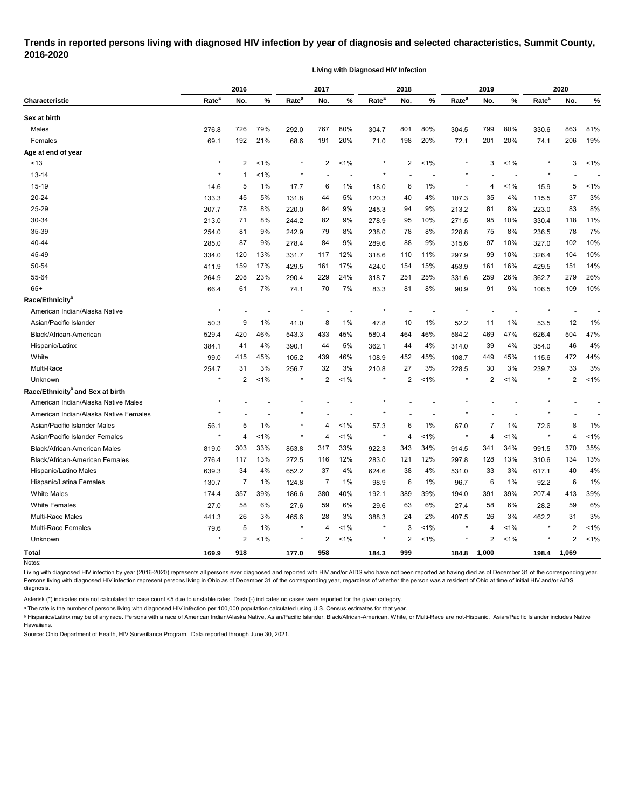# **Trends in reported persons living with diagnosed HIV infection by year of diagnosis and selected characteristics, Summit County, 2016-2020**

**Living with Diagnosed HIV Infection**

|                                                                                                                                                                                                                                                                                                                                                                                                                                                                                                                                                                                                                                                                                                                                                   |                   | 2016           |         |                   | 2017 |       |                   | 2018 |         | 2019              |                |         | 2020              |                |         |
|---------------------------------------------------------------------------------------------------------------------------------------------------------------------------------------------------------------------------------------------------------------------------------------------------------------------------------------------------------------------------------------------------------------------------------------------------------------------------------------------------------------------------------------------------------------------------------------------------------------------------------------------------------------------------------------------------------------------------------------------------|-------------------|----------------|---------|-------------------|------|-------|-------------------|------|---------|-------------------|----------------|---------|-------------------|----------------|---------|
| <b>Characteristic</b><br>Sex at birth<br>Males<br>Females<br>Age at end of year<br>< 13<br>$13 - 14$<br>$15 - 19$<br>20-24<br>25-29<br>30-34<br>35-39<br>40-44<br>45-49<br>50-54<br>55-64<br>$65+$<br>Race/Ethnicity <sup>b</sup><br>American Indian/Alaska Native<br>Asian/Pacific Islander<br>Black/African-American<br>Hispanic/Latinx<br>White<br>Multi-Race<br>Unknown<br>Race/Ethnicity <sup>b</sup> and Sex at birth<br>American Indian/Alaska Native Males<br>American Indian/Alaska Native Females<br>Asian/Pacific Islander Males<br>Asian/Pacific Islander Females<br>Black/African-American Males<br>Black/African-American Females<br>Hispanic/Latino Males<br>Hispanic/Latina Females<br><b>White Males</b><br><b>White Females</b> | Rate <sup>a</sup> | No.            | %       | Rate <sup>a</sup> | No.  | %     | Rate <sup>a</sup> | No.  | $\%$    | Rate <sup>a</sup> | No.            | %       | Rate <sup>a</sup> | No.            | %       |
|                                                                                                                                                                                                                                                                                                                                                                                                                                                                                                                                                                                                                                                                                                                                                   |                   |                |         |                   |      |       |                   |      |         |                   |                |         |                   |                |         |
|                                                                                                                                                                                                                                                                                                                                                                                                                                                                                                                                                                                                                                                                                                                                                   | 276.8             | 726            | 79%     | 292.0             | 767  | 80%   | 304.7             | 801  | 80%     | 304.5             | 799            | 80%     | 330.6             | 863            | 81%     |
|                                                                                                                                                                                                                                                                                                                                                                                                                                                                                                                                                                                                                                                                                                                                                   | 69.1              | 192            | 21%     | 68.6              | 191  | 20%   | 71.0              | 198  | 20%     | 72.1              | 201            | 20%     | 74.1              | 206            | 19%     |
|                                                                                                                                                                                                                                                                                                                                                                                                                                                                                                                                                                                                                                                                                                                                                   |                   |                |         |                   |      |       |                   |      |         |                   |                |         |                   |                |         |
|                                                                                                                                                                                                                                                                                                                                                                                                                                                                                                                                                                                                                                                                                                                                                   |                   | 2              | $< 1\%$ |                   | 2    | 1%    | $\star$           | 2    | $1\%$   |                   | 3              | $< 1\%$ |                   | 3              | 1%      |
|                                                                                                                                                                                                                                                                                                                                                                                                                                                                                                                                                                                                                                                                                                                                                   |                   | -1             | 1%      |                   |      |       | $\star$           |      |         |                   |                |         |                   |                |         |
|                                                                                                                                                                                                                                                                                                                                                                                                                                                                                                                                                                                                                                                                                                                                                   | 14.6              | 5              | 1%      | 17.7              | 6    | 1%    | 18.0              | 6    | 1%      | $^\star$          | 4              | $1\%$   | 15.9              | 5              | 1%      |
|                                                                                                                                                                                                                                                                                                                                                                                                                                                                                                                                                                                                                                                                                                                                                   | 133.3             | 45             | 5%      | 131.8             | 44   | 5%    | 120.3             | 40   | 4%      | 107.3             | 35             | 4%      | 115.5             | 37             | 3%      |
|                                                                                                                                                                                                                                                                                                                                                                                                                                                                                                                                                                                                                                                                                                                                                   | 207.7             | 78             | 8%      | 220.0             | 84   | 9%    | 245.3             | 94   | 9%      | 213.2             | 81             | 8%      | 223.0             | 83             | 8%      |
|                                                                                                                                                                                                                                                                                                                                                                                                                                                                                                                                                                                                                                                                                                                                                   | 213.0             | 71             | 8%      | 244.2             | 82   | 9%    | 278.9             | 95   | 10%     | 271.5             | 95             | 10%     | 330.4             | 118            | 11%     |
|                                                                                                                                                                                                                                                                                                                                                                                                                                                                                                                                                                                                                                                                                                                                                   | 254.0             | 81             | 9%      | 242.9             | 79   | 8%    | 238.0             | 78   | 8%      | 228.8             | 75             | 8%      | 236.5             | 78             | 7%      |
|                                                                                                                                                                                                                                                                                                                                                                                                                                                                                                                                                                                                                                                                                                                                                   | 285.0             | 87             | 9%      | 278.4             | 84   | 9%    | 289.6             | 88   | 9%      | 315.6             | 97             | 10%     | 327.0             | 102            | 10%     |
|                                                                                                                                                                                                                                                                                                                                                                                                                                                                                                                                                                                                                                                                                                                                                   | 334.0             | 120            | 13%     | 331.7             | 117  | 12%   | 318.6             | 110  | 11%     | 297.9             | 99             | 10%     | 326.4             | 104            | 10%     |
|                                                                                                                                                                                                                                                                                                                                                                                                                                                                                                                                                                                                                                                                                                                                                   | 411.9             | 159            | 17%     | 429.5             | 161  | 17%   | 424.0             | 154  | 15%     | 453.9             | 161            | 16%     | 429.5             | 151            | 14%     |
|                                                                                                                                                                                                                                                                                                                                                                                                                                                                                                                                                                                                                                                                                                                                                   | 264.9             | 208            | 23%     | 290.4             | 229  | 24%   | 318.7             | 251  | 25%     | 331.6             | 259            | 26%     | 362.7             | 279            | 26%     |
|                                                                                                                                                                                                                                                                                                                                                                                                                                                                                                                                                                                                                                                                                                                                                   | 66.4              | 61             | 7%      | 74.1              | 70   | 7%    | 83.3              | 81   | 8%      | 90.9              | 91             | 9%      | 106.5             | 109            | 10%     |
|                                                                                                                                                                                                                                                                                                                                                                                                                                                                                                                                                                                                                                                                                                                                                   |                   |                |         |                   |      |       |                   |      |         |                   |                |         |                   |                |         |
|                                                                                                                                                                                                                                                                                                                                                                                                                                                                                                                                                                                                                                                                                                                                                   | $\star$           |                |         |                   |      |       |                   |      |         |                   |                |         |                   |                |         |
|                                                                                                                                                                                                                                                                                                                                                                                                                                                                                                                                                                                                                                                                                                                                                   | 50.3              | 9              | 1%      | 41.0              | 8    | 1%    | 47.8              | 10   | 1%      | 52.2              | 11             | 1%      | 53.5              | 12             | 1%      |
|                                                                                                                                                                                                                                                                                                                                                                                                                                                                                                                                                                                                                                                                                                                                                   | 529.4             | 420            | 46%     | 543.3             | 433  | 45%   | 580.4             | 464  | 46%     | 584.2             | 469            | 47%     | 626.4             | 504            | 47%     |
|                                                                                                                                                                                                                                                                                                                                                                                                                                                                                                                                                                                                                                                                                                                                                   | 384.1             | 41             | 4%      | 390.1             | 44   | 5%    | 362.1             | 44   | 4%      | 314.0             | 39             | 4%      | 354.0             | 46             | 4%      |
|                                                                                                                                                                                                                                                                                                                                                                                                                                                                                                                                                                                                                                                                                                                                                   | 99.0              | 415            | 45%     | 105.2             | 439  | 46%   | 108.9             | 452  | 45%     | 108.7             | 449            | 45%     | 115.6             | 472            | 44%     |
|                                                                                                                                                                                                                                                                                                                                                                                                                                                                                                                                                                                                                                                                                                                                                   | 254.7             | 31             | 3%      | 256.7             | 32   | 3%    | 210.8             | 27   | 3%      | 228.5             | 30             | 3%      | 239.7             | 33             | 3%      |
|                                                                                                                                                                                                                                                                                                                                                                                                                                                                                                                                                                                                                                                                                                                                                   | $\star$           | 2              | 1%      | $\star$           | 2    | $1\%$ | $\star$           | 2    | $1\%$   | $\star$           | 2              | $1\%$   |                   | 2              | 1%      |
|                                                                                                                                                                                                                                                                                                                                                                                                                                                                                                                                                                                                                                                                                                                                                   |                   |                |         |                   |      |       |                   |      |         |                   |                |         |                   |                |         |
|                                                                                                                                                                                                                                                                                                                                                                                                                                                                                                                                                                                                                                                                                                                                                   |                   |                |         |                   |      |       |                   |      |         |                   |                |         |                   |                |         |
|                                                                                                                                                                                                                                                                                                                                                                                                                                                                                                                                                                                                                                                                                                                                                   |                   |                |         |                   |      |       | $\star$           |      |         |                   |                |         |                   |                |         |
|                                                                                                                                                                                                                                                                                                                                                                                                                                                                                                                                                                                                                                                                                                                                                   | 56.1              | 5              | 1%      |                   | 4    | 1%    | 57.3              | 6    | 1%      | 67.0              | 7              | 1%      | 72.6              | 8              | 1%      |
|                                                                                                                                                                                                                                                                                                                                                                                                                                                                                                                                                                                                                                                                                                                                                   |                   | 4              | 1%      |                   | 4    | $1\%$ | $\star$           | 4    | $1\%$   |                   | 4              | $1\%$   |                   | 4              | $< 1\%$ |
|                                                                                                                                                                                                                                                                                                                                                                                                                                                                                                                                                                                                                                                                                                                                                   | 819.0             | 303            | 33%     | 853.8             | 317  | 33%   | 922.3             | 343  | 34%     | 914.5             | 341            | 34%     | 991.5             | 370            | 35%     |
|                                                                                                                                                                                                                                                                                                                                                                                                                                                                                                                                                                                                                                                                                                                                                   | 276.4             | 117            | 13%     | 272.5             | 116  | 12%   | 283.0             | 121  | 12%     | 297.8             | 128            | 13%     | 310.6             | 134            | 13%     |
|                                                                                                                                                                                                                                                                                                                                                                                                                                                                                                                                                                                                                                                                                                                                                   | 639.3             | 34             | 4%      | 652.2             | 37   | 4%    | 624.6             | 38   | 4%      | 531.0             | 33             | 3%      | 617.1             | 40             | 4%      |
|                                                                                                                                                                                                                                                                                                                                                                                                                                                                                                                                                                                                                                                                                                                                                   | 130.7             | $\overline{7}$ | 1%      | 124.8             | 7    | 1%    | 98.9              | 6    | 1%      | 96.7              | 6              | $1\%$   | 92.2              | 6              | 1%      |
|                                                                                                                                                                                                                                                                                                                                                                                                                                                                                                                                                                                                                                                                                                                                                   | 174.4             | 357            | 39%     | 186.6             | 380  | 40%   | 192.1             | 389  | 39%     | 194.0             | 391            | 39%     | 207.4             | 413            | 39%     |
|                                                                                                                                                                                                                                                                                                                                                                                                                                                                                                                                                                                                                                                                                                                                                   | 27.0              | 58             | 6%      | 27.6              | 59   | 6%    | 29.6              | 63   | 6%      | 27.4              | 58             | 6%      | 28.2              | 59             | 6%      |
| Multi-Race Males                                                                                                                                                                                                                                                                                                                                                                                                                                                                                                                                                                                                                                                                                                                                  | 441.3             | 26             | 3%      | 465.6             | 28   | 3%    |                   | 24   | 2%      | 407.5             | 26             | 3%      | 462.2             | 31             | 3%      |
| Multi-Race Females                                                                                                                                                                                                                                                                                                                                                                                                                                                                                                                                                                                                                                                                                                                                | 79.6              | 5              | 1%      |                   | 4    | 1%    | 388.3<br>$\star$  | 3    | 1%      |                   | 4              | 1%      |                   | $\overline{2}$ | $< 1\%$ |
| Unknown                                                                                                                                                                                                                                                                                                                                                                                                                                                                                                                                                                                                                                                                                                                                           |                   | $\sqrt{2}$     | 1%      | $^{\star}$        | 2    | $1\%$ | $\star$           | 2    | $< 1\%$ |                   | $\overline{2}$ | 1%      | *                 | $\overline{2}$ | 1%      |
|                                                                                                                                                                                                                                                                                                                                                                                                                                                                                                                                                                                                                                                                                                                                                   |                   |                |         |                   |      |       |                   |      |         |                   |                |         |                   |                |         |
| <b>Total</b>                                                                                                                                                                                                                                                                                                                                                                                                                                                                                                                                                                                                                                                                                                                                      | 169.9             | 918            |         | 177.0             | 958  |       | 184.3             | 999  |         | 184.8             | 1,000          |         | 198.4             | 1,069          |         |

**Notes** 

Living with diagnosed HIV infection by year (2016-2020) represents all persons ever diagnosed and reported with HIV and/or AIDS who have not been reported as having died as of December 31 of the corresponding year. Persons living with diagnosed HIV infection represent persons living in Ohio as of December 31 of the corresponding year, regardless of whether the person was a resident of Ohio at time of initial HIV and/or AIDS diagnosis.

Asterisk (\*) indicates rate not calculated for case count <5 due to unstable rates. Dash (-) indicates no cases were reported for the given category.

a The rate is the number of persons living with diagnosed HIV infection per 100,000 population calculated using U.S. Census estimates for that year.

ᵇ Hispanics/Latinx may be of any race. Persons with a race of American Indian/Alaska Native, Asian/Pacific Islander, Black/African-American, White, or Multi-Race are not-Hispanic. Asian/Pacific Islander includes Native Hawaiians.